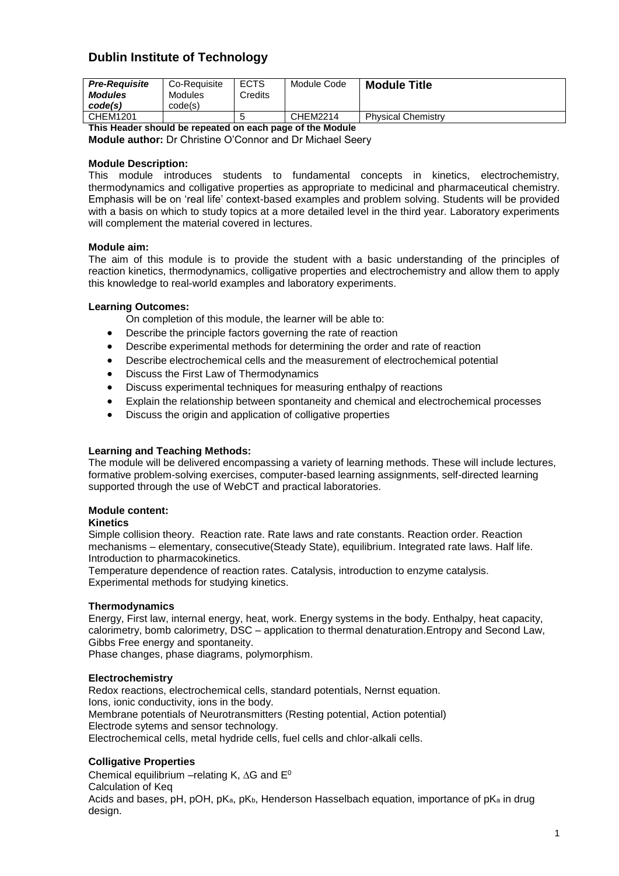# **Dublin Institute of Technology**

| <b>Pre-Reauisite</b><br><b>Modules</b><br>code(s)         | Co-Requisite<br>Modules<br>code(s) | <b>ECTS</b><br>Credits | Module Code | <b>Module Title</b>       |  |  |
|-----------------------------------------------------------|------------------------------------|------------------------|-------------|---------------------------|--|--|
| CHEM1201                                                  |                                    |                        | CHEM2214    | <b>Physical Chemistry</b> |  |  |
| This Header should be repeated an each nage of the Medule |                                    |                        |             |                           |  |  |

**This Header should be repeated on each page of the Module Module author:** Dr Christine O'Connor and Dr Michael Seery

# **Module Description:**

This module introduces students to fundamental concepts in kinetics, electrochemistry, thermodynamics and colligative properties as appropriate to medicinal and pharmaceutical chemistry. Emphasis will be on 'real life' context-based examples and problem solving. Students will be provided with a basis on which to study topics at a more detailed level in the third year. Laboratory experiments will complement the material covered in lectures.

# **Module aim:**

The aim of this module is to provide the student with a basic understanding of the principles of reaction kinetics, thermodynamics, colligative properties and electrochemistry and allow them to apply this knowledge to real-world examples and laboratory experiments.

#### **Learning Outcomes:**

On completion of this module, the learner will be able to:

- Describe the principle factors governing the rate of reaction
- Describe experimental methods for determining the order and rate of reaction
- Describe electrochemical cells and the measurement of electrochemical potential
- Discuss the First Law of Thermodynamics
- Discuss experimental techniques for measuring enthalpy of reactions
- Explain the relationship between spontaneity and chemical and electrochemical processes
- Discuss the origin and application of colligative properties

# **Learning and Teaching Methods:**

The module will be delivered encompassing a variety of learning methods. These will include lectures, formative problem-solving exercises, computer-based learning assignments, self-directed learning supported through the use of WebCT and practical laboratories.

# **Module content:**

#### **Kinetics**

Simple collision theory. Reaction rate. Rate laws and rate constants. Reaction order. Reaction mechanisms – elementary, consecutive(Steady State), equilibrium. Integrated rate laws. Half life. Introduction to pharmacokinetics.

Temperature dependence of reaction rates. Catalysis, introduction to enzyme catalysis. Experimental methods for studying kinetics.

# **Thermodynamics**

Energy, First law, internal energy, heat, work. Energy systems in the body. Enthalpy, heat capacity, calorimetry, bomb calorimetry, DSC – application to thermal denaturation.Entropy and Second Law, Gibbs Free energy and spontaneity.

Phase changes, phase diagrams, polymorphism.

# **Electrochemistry**

Redox reactions, electrochemical cells, standard potentials, Nernst equation. Ions, ionic conductivity, ions in the body. Membrane potentials of Neurotransmitters (Resting potential, Action potential) Electrode sytems and sensor technology. Electrochemical cells, metal hydride cells, fuel cells and chlor-alkali cells.

# **Colligative Properties**

Chemical equilibrium –relating K,  $\Delta G$  and  $E^0$ Calculation of Keq Acids and bases, pH, pOH, pK<sub>a</sub>, pK<sub>b</sub>, Henderson Hasselbach equation, importance of pK<sub>a</sub> in drug design.